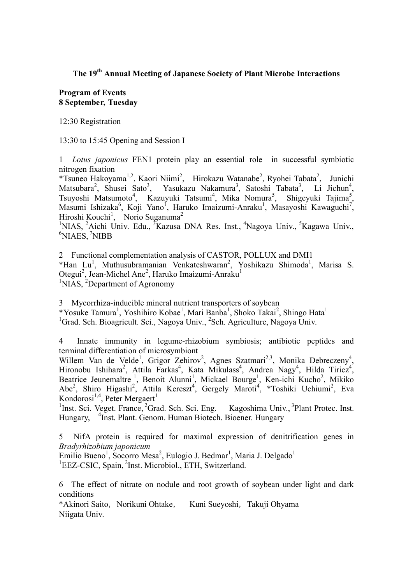# **The 19th Annual Meeting of Japanese Society of Plant Microbe Interactions**

## **Program of Events 8 September, Tuesday**

12:30 Registration

13:30 to 15:45 Opening and Session I

1 *Lotus japonicus* FEN1 protein play an essential role in successful symbiotic nitrogen fixation

\*Tsuneo Hakoyama<sup>1,2</sup>, Kaori Niimi<sup>2</sup>, Hirokazu Watanabe<sup>2</sup>, Ryohei Tabata<sup>2</sup>, Junichi Matsubara<sup>2</sup>, Shusei Sato<sup>3</sup>, Yasukazu Nakamura<sup>3</sup>, Satoshi Tabata<sup>3</sup>, Li Jichun<sup>4</sup>, Tsuyoshi Matsumoto<sup>4</sup>, Kazuyuki Tatsumi<sup>4</sup>, Mika Nomura<sup>5</sup>, Shigeyuki Tajima<sup>5</sup>, Masumi Ishizaka<sup>6</sup>, Koji Yano<sup>I</sup>, Haruko Imaizumi-Anraku<sup>1</sup>, Masayoshi Kawaguchi<sup>7</sup>, Hiroshi Kouchi<sup>1</sup>, Norio Suganuma<sup>2</sup>

<sup>1</sup>NIAS, <sup>2</sup>Aichi Univ. Edu., <sup>3</sup>Kazusa DNA Res. Inst., <sup>4</sup>Nagoya Univ., <sup>5</sup>Kagawa Univ., <sup>6</sup>NIAES NIAES, <sup>7</sup>NIBB

2 Functional complementation analysis of CASTOR, POLLUX and DMI1 \*Han Lu<sup>1</sup>, Muthusubramanian Venkateshwaran<sup>2</sup>, Yoshikazu Shimoda<sup>1</sup>, Marisa S. Otegui<sup>2</sup>, Jean-Michel Ane<sup>2</sup>, Haruko Imaizumi-Anraku<sup>1</sup> <sup>1</sup>NIAS, <sup>2</sup>Department of Agronomy

3 Mycorrhiza-inducible mineral nutrient transporters of soybean \*Yosuke Tamura<sup>1</sup>, Yoshihiro Kobae<sup>1</sup>, Mari Banba<sup>1</sup>, Shoko Takai<sup>2</sup>, Shingo Hata<sup>1</sup> <sup>1</sup>Grad. Sch. Bioagricult. Sci., Nagoya Univ., <sup>2</sup>Sch. Agriculture, Nagoya Univ.

4 Innate immunity in legume-rhizobium symbiosis; antibiotic peptides and terminal differentiation of microsymbiont

Willem Van de Velde<sup>1</sup>, Grigor Zehirov<sup>2</sup>, Agnes Szatmari<sup>2,3</sup>, Monika Debreczeny<sup>4</sup>, Hironobu Ishihara<sup>2</sup>, Attila Farkas<sup>4</sup>, Kata Mikulass<sup>4</sup>, Andrea Nagy<sup>4</sup>, Hilda Tiricz<sup>4</sup>, Beatrice Jeunemaître<sup>1</sup>, Benoit Alunni<sup>1</sup>, Mickael Bourge<sup>1</sup>, Ken-ichi Kucho<sup>2</sup>, Mikiko Abe<sup>2</sup>, Shiro Higashi<sup>2</sup>, Attila Kereszt<sup>4</sup>, Gergely Maroti<sup>4</sup>, \*Toshiki Uchiumi<sup>2</sup>, Eva Kondorosi<sup>1,4</sup>, Peter Mergaert<sup>1</sup>

<sup>1</sup>Inst. Sci. Veget. France, <sup>2</sup>Grad. Sch. Sci. Eng. Kagoshima Univ., <sup>3</sup>Plant Protec. Inst. Hungary, <sup>4</sup>Inst. Plant. Genom. Human Biotech. Bioener. Hungary

5 NifA protein is required for maximal expression of denitrification genes in *Bradyrhizobium japonicum*

Emilio Bueno<sup>1</sup>, Socorro Mesa<sup>2</sup>, Eulogio J. Bedmar<sup>1</sup>, Maria J. Delgado<sup>1</sup> <sup>1</sup>EEZ-CSIC, Spain, <sup>2</sup>Inst. Microbiol., ETH, Switzerland.

6 The effect of nitrate on nodule and root growth of soybean under light and dark conditions

\*Akinori Saito,Norikuni Ohtake, Kuni Sueyoshi,Takuji Ohyama Niigata Univ.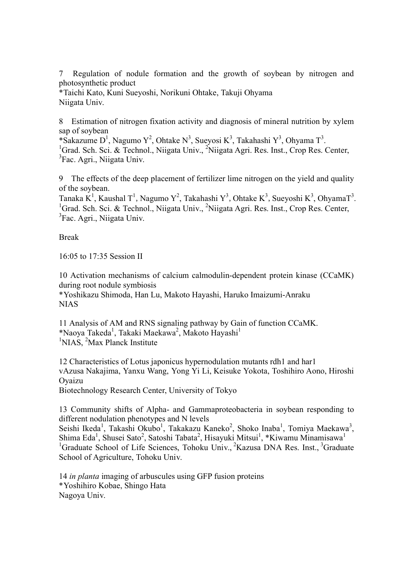7 Regulation of nodule formation and the growth of soybean by nitrogen and photosynthetic product

\*Taichi Kato, Kuni Sueyoshi, Norikuni Ohtake, Takuji Ohyama Niigata Univ.

8 Estimation of nitrogen fixation activity and diagnosis of mineral nutrition by xylem sap of soybean

\*Sakazume D<sup>1</sup>, Nagumo Y<sup>2</sup>, Ohtake N<sup>3</sup>, Sueyosi K<sup>3</sup>, Takahashi Y<sup>3</sup>, Ohyama T<sup>3</sup>. <sup>1</sup>Grad. Sch. Sci. & Technol., Niigata Univ., <sup>2</sup>Niigata Agri. Res. Inst., Crop Res. Center,  $\frac{3\text{F}}{2}$  ${}^{3}$ Fac. Agri., Niigata Univ.

9 The effects of the deep placement of fertilizer lime nitrogen on the yield and quality of the soybean.

Tanaka K<sup>1</sup>, Kaushal T<sup>1</sup>, Nagumo Y<sup>2</sup>, Takahashi Y<sup>3</sup>, Ohtake K<sup>3</sup>, Sueyoshi K<sup>3</sup>, OhyamaT<sup>3</sup>. <sup>1</sup>Grad. Sch. Sci. & Technol., Niigata Univ., <sup>2</sup>Niigata Agri. Res. Inst., Crop Res. Center,  $\frac{3\text{F}}{2}$  ${}^{3}$ Fac. Agri., Niigata Univ.

Break

16:05 to 17:35 Session II

10 Activation mechanisms of calcium calmodulin-dependent protein kinase (CCaMK) during root nodule symbiosis \*Yoshikazu Shimoda, Han Lu, Makoto Hayashi, Haruko Imaizumi-Anraku NIAS

11 Analysis of AM and RNS signaling pathway by Gain of function CCaMK. \*Naoya Takeda<sup>1</sup>, Takaki Maekawa<sup>2</sup>, Makoto Hayashi<sup>1</sup> <sup>1</sup>NIAS, <sup>2</sup>Max Planck Institute

12 Characteristics of Lotus japonicus hypernodulation mutants rdh1 and har1 vAzusa Nakajima, Yanxu Wang, Yong Yi Li, Keisuke Yokota, Toshihiro Aono, Hiroshi Oyaizu

Biotechnology Research Center, University of Tokyo

13 Community shifts of Alpha- and Gammaproteobacteria in soybean responding to different nodulation phenotypes and N levels

Seishi Ikeda<sup>1</sup>, Takashi Okubo<sup>1</sup>, Takakazu Kaneko<sup>2</sup>, Shoko Inaba<sup>1</sup>, Tomiya Maekawa<sup>3</sup>, Shima Eda<sup>1</sup>, Shusei Sato<sup>2</sup>, Satoshi Tabata<sup>2</sup>, Hisayuki Mitsui<sup>1</sup>, \*Kiwamu Minamisawa<sup>1</sup> <sup>1</sup>Graduate School of Life Sciences, Tohoku Univ., <sup>2</sup>Kazusa DNA Res. Inst., <sup>3</sup>Graduate School of Agriculture, Tohoku Univ.

14 *in planta* imaging of arbuscules using GFP fusion proteins \*Yoshihiro Kobae, Shingo Hata Nagoya Univ.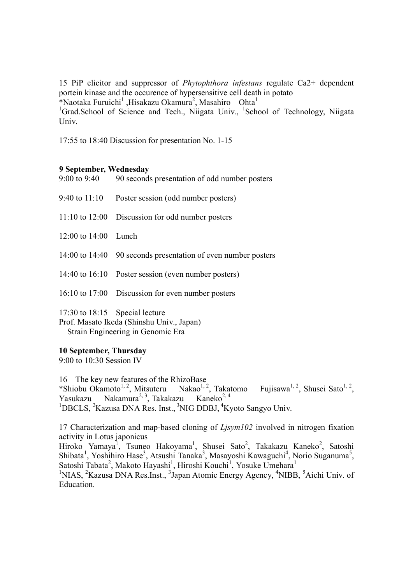15 PiP elicitor and suppressor of *Phytophthora infestans* regulate Ca2+ dependent portein kinase and the occurence of hypersensitive cell death in potato \*Naotaka Furuichi<sup>1</sup>, Hisakazu Okamura<sup>2</sup>, Masahiro Ohta<sup>1</sup>

<sup>1</sup>Grad.School of Science and Tech., Niigata Univ., <sup>1</sup>School of Technology, Niigata Univ.

17:55 to 18:40 Discussion for presentation No. 1-15

#### **9 September, Wednesday**

9:00 to 9:40 90 seconds presentation of odd number posters

- 9:40 to 11:10 Poster session (odd number posters)
- 11:10 to 12:00 Discussion for odd number posters

12:00 to 14:00 Lunch

- 14:00 to 14:40 90 seconds presentation of even number posters
- 14:40 to 16:10 Poster session (even number posters)
- 16:10 to 17:00 Discussion for even number posters

17:30 to 18:15 Special lecture

Prof. Masato Ikeda (Shinshu Univ., Japan) Strain Engineering in Genomic Era

#### **10 September, Thursday**

9:00 to 10:30 Session IV

16 The key new features of the RhizoBase \*Shiobu Okamoto<sup>1, 2</sup>, Mitsuteru Nakao<sup>1, 2</sup>, Takatomo Fujisawa  $1, 2$ , Shusei Sato<sup>1, 2</sup>, Yasukazu Nakamura<sup>2, 3</sup>, Takakazu Kaneko<sup>2, 4</sup> <sup>1</sup>DBCLS, <sup>2</sup>Kazusa DNA Res. Inst., <sup>3</sup>NIG DDBJ, <sup>4</sup>Kyoto Sangyo Univ.

17 Characterization and map-based cloning of *Ljsym102* involved in nitrogen fixation activity in Lotus japonicus Hiroko Yamaya<sup>1</sup>, Tsuneo Hakoyama<sup>1</sup>, Shusei Sato<sup>2</sup>, Takakazu Kaneko<sup>2</sup>, Satoshi Shibata<sup>1</sup>, Yoshihiro Hase<sup>3</sup>, Atsushi Tanaka<sup>3</sup>, Masayoshi Kawaguchi<sup>4</sup>, Norio Suganuma<sup>5</sup>,

Satoshi Tabata<sup>2</sup>, Makoto Hayashi<sup>1</sup>, Hiroshi Kouchi<sup>1</sup>, Yosuke Umehara<sup>1</sup> <sup>1</sup>NIAS, <sup>2</sup>Kazusa DNA Res.Inst., <sup>3</sup>Japan Atomic Energy Agency, <sup>4</sup>NIBB, <sup>5</sup>Aichi Univ. of Education.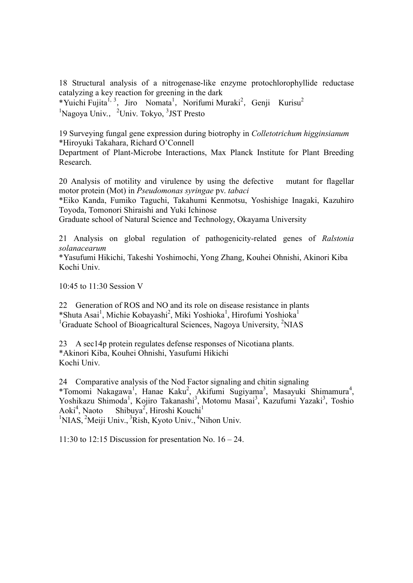18 Structural analysis of a nitrogenase-like enzyme protochlorophyllide reductase catalyzing a key reaction for greening in the dark

\*Yuichi Fujita<sup>1, 3</sup>, Jiro Nomata<sup>1</sup>, Norifumi Muraki<sup>2</sup>, Genji Kurisu<sup>2</sup> <sup>1</sup>Nagoya Univ., <sup>2</sup>Univ. Tokyo, <sup>3</sup>JST Presto

19 Surveying fungal gene expression during biotrophy in *Colletotrichum higginsianum* \*Hiroyuki Takahara, Richard O'Connell

Department of Plant-Microbe Interactions, Max Planck Institute for Plant Breeding Research.

20 Analysis of motility and virulence by using the defective mutant for flagellar motor protein (Mot) in *Pseudomonas syringae* pv. *tabaci*

\*Eiko Kanda, Fumiko Taguchi, Takahumi Kenmotsu, Yoshishige Inagaki, Kazuhiro Toyoda, Tomonori Shiraishi and Yuki Ichinose

Graduate school of Natural Science and Technology, Okayama University

21 Analysis on global regulation of pathogenicity-related genes of *Ralstonia solanacearum*

\*Yasufumi Hikichi, Takeshi Yoshimochi, Yong Zhang, Kouhei Ohnishi, Akinori Kiba Kochi Univ.

10:45 to 11:30 Session V

22 Generation of ROS and NO and its role on disease resistance in plants \*Shuta Asai<sup>1</sup>, Michie Kobayashi<sup>2</sup>, Miki Yoshioka<sup>1</sup>, Hirofumi Yoshioka<sup>1</sup> <sup>1</sup>Graduate School of Bioagricaltural Sciences, Nagoya University, <sup>2</sup>NIAS

23 A sec14p protein regulates defense responses of Nicotiana plants. \*Akinori Kiba, Kouhei Ohnishi, Yasufumi Hikichi Kochi Univ.

24 Comparative analysis of the Nod Factor signaling and chitin signaling \*Tomomi Nakagawa<sup>1</sup>, Hanae Kaku<sup>2</sup>, Akifumi Sugiyama<sup>3</sup>, Masayuki Shimamura<sup>4</sup>, Yoshikazu Shimoda<sup>1</sup>, Kojiro Takanashi<sup>3</sup>, Motomu Masai<sup>3</sup>, Kazufumi Yazaki<sup>3</sup>, Toshio Aoki<sup>4</sup>, Naoto , Naoto Shibuya<sup>2</sup>, Hiroshi Kouchi<sup>1</sup> <sup>1</sup>NIAS, <sup>2</sup>Meiji Univ., <sup>3</sup>Rish, Kyoto Univ., <sup>4</sup>Nihon Univ.

11:30 to 12:15 Discussion for presentation No.  $16 - 24$ .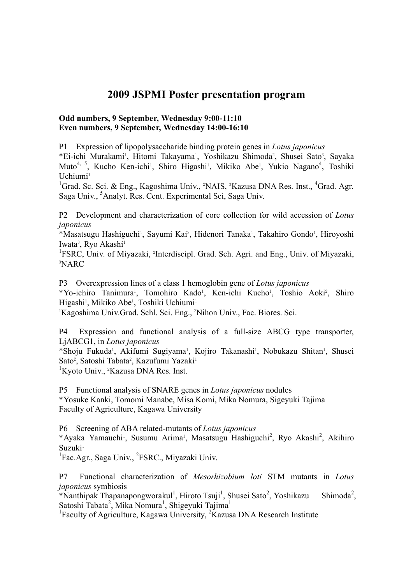# **2009 JSPMI Poster presentation program**

### **Odd numbers, 9 September, Wednesday 9:00-11:10 Even numbers, 9 September, Wednesday 14:00-16:10**

P1 Expression of lipopolysaccharide binding protein genes in *Lotus japonicus* \*Ei-ichi Murakami<sup>1</sup>, Hitomi Takayama<sup>1</sup>, Yoshikazu Shimoda<sup>2</sup>, Shusei Sato<sup>3</sup>, Sayaka Muto<sup>4, 5</sup>, Kucho Ken-ichi<sup>1</sup>, Shiro Higashi<sup>1</sup>, Mikiko Abe<sup>1</sup>, Yukio Nagano<sup>4</sup>, Toshiki Uchiumi<sup>1</sup>

<sup>1</sup>Grad. Sc. Sci. & Eng., Kagoshima Univ., <sup>2</sup>NAIS, <sup>3</sup>Kazusa DNA Res. Inst., <sup>4</sup>Grad. Agr. Saga Univ., <sup>5</sup>Analyt. Res. Cent. Experimental Sci, Saga Univ.

P2 Development and characterization of core collection for wild accession of *Lotus japonicus*

\*Masatsugu Hashiguchi<sup>1</sup>, Sayumi Kai<sup>2</sup>, Hidenori Tanaka<sup>1</sup>, Takahiro Gondo<sup>1</sup>, Hiroyoshi Iwata<sup>3</sup>, Ryo Akashi<sup>1</sup>

<sup>1</sup>FSRC, Univ. of Miyazaki, <sup>2</sup>Interdiscipl. Grad. Sch. Agri. and Eng., Univ. of Miyazaki, 3 NARC

P3 Overexpression lines of a class 1 hemoglobin gene of *Lotus japonicus*

\*Yo-ichiro Tanimura<sup>1</sup>, Tomohiro Kado<sup>1</sup>, Ken-ichi Kucho<sup>1</sup>, Toshio Aoki<sup>2</sup>, Shiro Higashi<sup>1</sup>, Mikiko Abe<sup>1</sup>, Toshiki Uchiumi<sup>1</sup>

<sup>1</sup>Kagoshima Univ.Grad. Schl. Sci. Eng., <sup>2</sup>Nihon Univ., Fac. Biores. Sci.

P4 Expression and functional analysis of a full-size ABCG type transporter, LjABCG1, in *Lotus japonicus*

\*Shoju Fukuda<sup>1</sup>, Akifumi Sugiyama<sup>1</sup>, Kojiro Takanashi<sup>1</sup>, Nobukazu Shitan<sup>1</sup>, Shusei Sato<sup>2</sup>, Satoshi Tabata<sup>2</sup>, Kazufumi Yazaki<sup>1</sup>

<sup>1</sup>Kyoto Univ., <sup>2</sup>Kazusa DNA Res. Inst.

P5 Functional analysis of SNARE genes in *Lotus japonicus* nodules \*Yosuke Kanki, Tomomi Manabe, Misa Komi, Mika Nomura, Sigeyuki Tajima Faculty of Agriculture, Kagawa University

P6 Screening of ABA related-mutants of *Lotus japonicus* \*Ayaka Yamauchi<sup>1</sup>, Susumu Arima<sup>1</sup>, Masatsugu Hashiguchi<sup>2</sup>, Ryo Akashi<sup>2</sup>, Akihiro Suzuki<sup>1</sup>

<sup>1</sup>Fac.Agr., Saga Univ., <sup>2</sup>FSRC., Miyazaki Univ.

P7 Functional characterization of *Mesorhizobium loti* STM mutants in *Lotus japonicus* symbiosis

\*Nanthipak Thapanapongworakul<sup>1</sup>, Hiroto Tsuji<sup>1</sup>, Shusei Sato<sup>2</sup>, Yoshikazu Shimoda<sup>2</sup> Shimoda<sup>2</sup>. Satoshi Tabata<sup>2</sup>, Mika Nomura<sup>1</sup>, Shigeyuki Tajima<sup>1</sup>

<sup>1</sup>Faculty of Agriculture, Kagawa University,  ${}^{2}$ Kazusa DNA Research Institute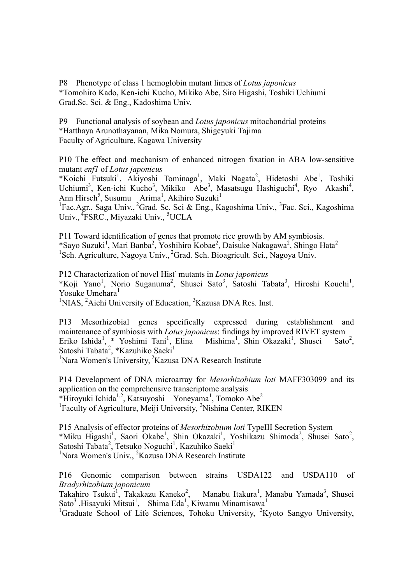P8 Phenotype of class 1 hemoglobin mutant limes of *Lotus japonicus* \*Tomohiro Kado, Ken-ichi Kucho, Mikiko Abe, Siro Higashi, Toshiki Uchiumi Grad.Sc. Sci. & Eng., Kadoshima Univ.

P9 Functional analysis of soybean and *Lotus japonicus* mitochondrial proteins \*Hatthaya Arunothayanan, Mika Nomura, Shigeyuki Tajima Faculty of Agriculture, Kagawa University

P10 The effect and mechanism of enhanced nitrogen fixation in ABA low-sensitive mutant *enf1* of *Lotus japonicus*

\*Koichi Futsuki<sup>1</sup>, Akiyoshi Tominaga<sup>1</sup>, Maki Nagata<sup>2</sup>, Hidetoshi Abe<sup>1</sup>, Toshiki Uchiumi<sup>3</sup>, Ken-ichi Kucho<sup>3</sup>, Mikiko Abe<sup>3</sup>, Masatsugu Hashiguchi<sup>4</sup>, Ryo Akashi<sup>4</sup>, Ann Hirsch<sup>5</sup>, Susumu Arima<sup>1</sup>, Akihiro Suzuki<sup>1</sup>

<sup>1</sup>Fac.Agr., Saga Univ., <sup>2</sup>Grad. Sc. Sci & Eng., Kagoshima Univ., <sup>3</sup>Fac. Sci., Kagoshima Univ., <sup>4</sup>FSRC., Miyazaki Univ., <sup>5</sup>UCLA

P11 Toward identification of genes that promote rice growth by AM symbiosis. \*Sayo Suzuki<sup>1</sup>, Mari Banba<sup>2</sup>, Yoshihiro Kobae<sup>2</sup>, Daisuke Nakagawa<sup>2</sup>, Shingo Hata<sup>2</sup> <sup>1</sup>Sch. Agriculture, Nagoya Univ., <sup>2</sup>Grad. Sch. Bioagricult. Sci., Nagoya Univ.

P12 Characterization of novel Hist - mutants in *Lotus japonicus* \*Koji Yano<sup>1</sup>, Norio Suganuma<sup>2</sup>, Shusei Sato<sup>3</sup>, Satoshi Tabata<sup>3</sup>, Hiroshi Kouchi<sup>1</sup>, Yosuke Umehara<sup>1</sup>

<sup>1</sup>NIAS, <sup>2</sup>Aichi University of Education, <sup>3</sup>Kazusa DNA Res. Inst.

P13 Mesorhizobial genes specifically expressed during establishment and maintenance of symbiosis with *Lotus japonicus*: findings by improved RIVET system Eriko Ishida<sup>1</sup>, \* Yoshimi Tani<sup>1</sup>, Elina Mishima<sup>1</sup>, Shin Okazaki<sup>1</sup>, Shusei Sato<sup>2</sup>, Satoshi Tabata<sup>2</sup>, \*Kazuhiko Saeki<sup>1</sup>

<sup>1</sup>Nara Women's University, <sup>2</sup>Kazusa DNA Research Institute

P14 Development of DNA microarray for *Mesorhizobium loti* MAFF303099 and its application on the comprehensive transcriptome analysis \*Hiroyuki Ichida<sup>1,2</sup>, Katsuyoshi Yoneyama<sup>1</sup>, Tomoko Abe<sup>2</sup> <sup>1</sup>Faculty of Agriculture, Meiji University, <sup>2</sup>Nishina Center, RIKEN

P15 Analysis of effector proteins of *Mesorhizobium loti* TypeIII Secretion System \*Miku Higashi<sup>1</sup>, Saori Okabe<sup>1</sup>, Shin Okazaki<sup>1</sup>, Yoshikazu Shimoda<sup>2</sup>, Shusei Sato<sup>2</sup>, Satoshi Tabata<sup>2</sup>, Tetsuko Noguchi<sup>1</sup>, Kazuhiko Saeki<sup>1</sup> <sup>1</sup>Nara Women's Univ., <sup>2</sup>Kazusa DNA Research Institute

P16 Genomic comparison between strains USDA122 and USDA110 of *Bradyrhizobium japonicum*

Takahiro Tsukui<sup>1</sup>, Takakazu Kaneko<sup>2</sup>, Manabu Itakura<sup>1</sup>, Manabu Yamada<sup>3</sup>, Shusei Sato<sup>3</sup>, Hisayuki Mitsui<sup>1</sup>, Shima Eda<sup>1</sup>, Kiwamu Minamisawa<sup>1</sup>

<sup>1</sup>Graduate School of Life Sciences, Tohoku University, <sup>2</sup>Kyoto Sangyo University,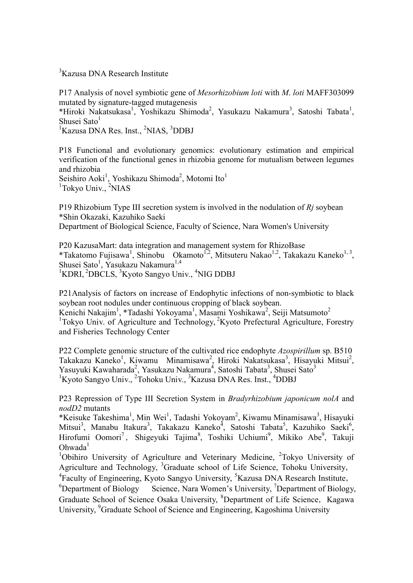<sup>3</sup>Kazusa DNA Research Institute

P17 Analysis of novel symbiotic gene of *Mesorhizobium loti* with *M*. *loti* MAFF303099 mutated by signature-tagged mutagenesis \*Hiroki Nakatsukasa<sup>1</sup>, Yoshikazu Shimoda<sup>2</sup>, Yasukazu Nakamura<sup>3</sup>, Satoshi Tabata<sup>1</sup>,

Shusei Sato<sup>1</sup>

<sup>1</sup>Kazusa DNA Res. Inst., <sup>2</sup>NIAS, <sup>3</sup>DDBJ

P18 Functional and evolutionary genomics: evolutionary estimation and empirical verification of the functional genes in rhizobia genome for mutualism between legumes and rhizobia

Seishiro Aoki<sup>1</sup>, Yoshikazu Shimoda<sup>2</sup>, Motomi Ito<sup>1</sup> <sup>1</sup>Tokyo Univ., <sup>2</sup>NIAS

P19 Rhizobium Type III secretion system is involved in the nodulation of *Rj* soybean \*Shin Okazaki, Kazuhiko Saeki

Department of Biological Science, Faculty of Science, Nara Women's University

P20 KazusaMart: data integration and management system for RhizoBase \*Takatomo Fujisawa<sup>1</sup>, Shinobu Okamoto<sup>1,2</sup>, Mitsuteru Nakao<sup>1,2</sup>, Takakazu Kaneko<sup>1,3</sup>, Shusei Sato<sup>1</sup>, Yasukazu Nakamura<sup>1,4</sup> <sup>1</sup>KDRI, <sup>2</sup>DBCLS, <sup>3</sup>Kyoto Sangyo Univ., <sup>4</sup>NIG DDBJ

P21Analysis of factors on increase of Endophytic infections of non-symbiotic to black soybean root nodules under continuous cropping of black soybean.

Kenichi Nakajim<sup>1</sup>, \*Tadashi Yokoyama<sup>1</sup>, Masami Yoshikawa<sup>2</sup>, Seiji Matsumoto<sup>2</sup> <sup>1</sup>Tokyo Univ. of Agriculture and Technology, <sup>2</sup>Kyoto Prefectural Agriculture, Forestry and Fisheries Technology Center

P22 Complete genomic structure of the cultivated rice endophyte *Azospirillum* sp. B510 Takakazu Kaneko<sup>1</sup>, Kiwamu Minamisawa<sup>2</sup>, Hiroki Nakatsukasa<sup>3</sup>, Hisayuki Mitsui<sup>2</sup>, Yasuyuki Kawaharada<sup>2</sup>, Yasukazu Nakamura<sup>4</sup>, Satoshi Tabata<sup>3</sup>, Shusei Sato<sup>3</sup> <sup>1</sup>Kyoto Sangyo Univ., <sup>2</sup>Tohoku Univ., <sup>3</sup>Kazusa DNA Res. Inst., <sup>4</sup>DDBJ

P23 Repression of Type III Secretion System in *Bradyrhizobium japonicum nolA* and *nodD2* mutants

\*Keisuke Takeshima 1 , Min Wei 1 , Tadashi Yokoyam 2 , Kiwamu Minamisawa 3 , Hisayuki Mitsui<sup>3</sup>, Manabu Itakura<sup>3</sup>, Takakazu Kaneko<sup>4</sup>, Satoshi Tabata<sup>5</sup>, Kazuhiko Saeki<sup>6</sup>, Hirofumi Oomori<sup>7</sup>, Shigeyuki Tajima<sup>8</sup>, Toshiki Uchiumi<sup>9</sup>, Mikiko Abe<sup>9</sup>, Takuji  $Ohwada<sup>1</sup>$ 

<sup>1</sup>Obihiro University of Agriculture and Veterinary Medicine, <sup>2</sup>Tokyo University of Agriculture and Technology, <sup>3</sup>Graduate school of Life Science, Tohoku University,

<sup>4</sup> Faculty of Engineering, Kyoto Sangyo University, <sup>5</sup> Kazusa DNA Research Institute,  ${}^{6}$ Department of Biology Science, Nara Women's University,  ${}^{7}$ Department of Biology, Graduate School of Science Osaka University, <sup>8</sup>Department of Life Science, Kagawa University, <sup>9</sup>Graduate School of Science and Engineering, Kagoshima University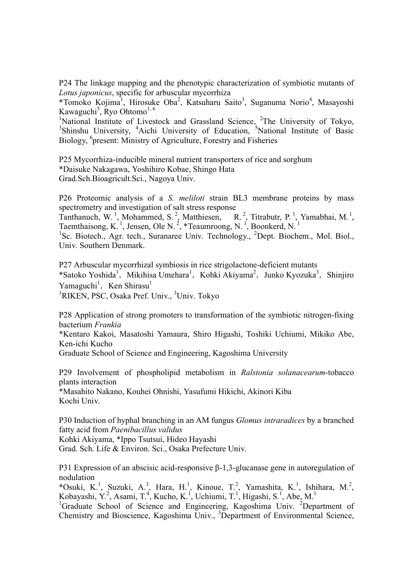P24 The linkage mapping and the phenotypic characterization of symbiotic mutants of *Lotus japonicus*, specific for arbuscular mycorrhiza

\*Tomoko Kojima<sup>1</sup>, Hirosuke Oba<sup>2</sup>, Katsuharu Saito<sup>3</sup>, Suganuma Norio<sup>4</sup>, Masayoshi Kawaguchi<sup>5</sup>, Ryo Ohtomo<sup>1, 6</sup>

<sup>1</sup>National Institute of Livestock and Grassland Science, <sup>2</sup>The University of Tokyo, <sup>3</sup>Shinshu University, <sup>4</sup>Aichi University of Education, <sup>5</sup>National Institute of Basic Biology, <sup>6</sup>present: Ministry of Agriculture, Forestry and Fisheries

P25 Mycorrhiza-inducible mineral nutrient transporters of rice and sorghum \*Daisuke Nakagawa, Yoshihiro Kobae, Shingo Hata Grad.Sch.Bioagricult.Sci., Nagoya Univ.

P26 Proteomic analysis of a *S. meliloti* strain BL3 membrane proteins by mass spectrometry and investigation of salt stress response

Tanthanuch, W.<sup>1</sup>, Mohammed, S.<sup>2</sup>, Matthiesen, R.<sup>2</sup>, Titrabutr, P.<sup>1</sup>, Yamabhai, M.<sup>1</sup>, Taemthaisong, K.<sup>1</sup>, Jensen, Ole N.<sup>2</sup>, \*Teaumroong, N.<sup>1</sup>, Boonkerd, N.<sup>1</sup>

<sup>1</sup>Sc. Biotech., Agr. tech., Suranaree Univ. Technology., <sup>2</sup>Dept. Biochem., Mol. Biol., Univ. Southern Denmark.

P27 Arbuscular mycorrhizal symbiosis in rice strigolactone-deficient mutants \*Satoko Yoshida<sup>1</sup>, Mikihisa Umehara<sup>1</sup>, Kohki Akiyama<sup>2</sup>, Junko Kyozuka<sup>3</sup>, Shinjiro Yamaguchi<sup>1</sup>, Ken Shirasu<sup>1</sup> <sup>1</sup>RIKEN, PSC, Osaka Pref. Univ., <sup>3</sup>Univ. Tokyo

P28 Application of strong promoters to transformation of the symbiotic nitrogen-fixing bacterium *Frankia*

\*Kentaro Kakoi, Masatoshi Yamaura, Shiro Higashi, Toshiki Uchiumi, Mikiko Abe, Ken-ichi Kucho

Graduate School of Science and Engineering, Kagoshima University

P29 Involvement of phospholipid metabolism in *Ralstonia solanacearum*-tobacco plants interaction

\*Masahito Nakano, Kouhei Ohnishi, Yasufumi Hikichi, Akinori Kiba Kochi Univ.

P30 Induction of hyphal branching in an AM fungus *Glomus intraradices* by a branched fatty acid from *Paenibacillus validus*

Kohki Akiyama, \*Ippo Tsutsui, Hideo Hayashi

Grad. Sch. Life & Environ. Sci., Osaka Prefecture Univ.

P31 Expression of an abscisic acid-responsive β-1,3-glucanase gene in autoregulation of nodulation

\*Osuki, K.<sup>1</sup>, Suzuki, A.<sup>3</sup>, Hara, H.<sup>1</sup>, Kinoue, T.<sup>2</sup>, Yamashita, K.<sup>1</sup>, Ishihara, M.<sup>2</sup>, Kobayashi, Y.<sup>2</sup>, Asami, T.<sup>4</sup>, Kucho, K.<sup>1</sup>, Uchiumi, T.<sup>1</sup>, Higashi, S.<sup>1</sup>, Abe, M.<sup>1</sup>

<sup>1</sup>Graduate School of Science and Engineering, Kagoshima Univ. <sup>2</sup>Department of Chemistry and Bioscience, Kagoshima Univ., <sup>3</sup>Department of Environmental Science,